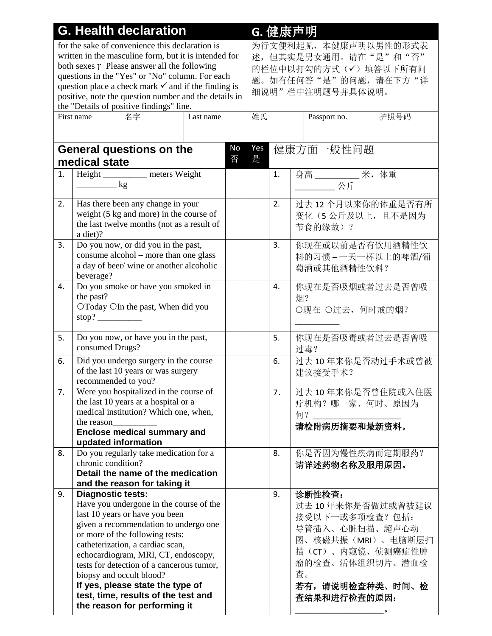| <b>G. Health declaration</b>                                        |                                                                                  |           |    | G. 健康声明               |    |         |                        |                    |  |
|---------------------------------------------------------------------|----------------------------------------------------------------------------------|-----------|----|-----------------------|----|---------|------------------------|--------------------|--|
| for the sake of convenience this declaration is                     |                                                                                  |           |    | 为行文便利起见, 本健康声明以男性的形式表 |    |         |                        |                    |  |
| written in the masculine form, but it is intended for               |                                                                                  |           |    | 述,但其实是男女通用。请在"是"和"否"  |    |         |                        |                    |  |
| both sexes $\gamma$ Please answer all the following                 |                                                                                  |           |    | 的栏位中以打勾的方式(√)填答以下所有问  |    |         |                        |                    |  |
| questions in the "Yes" or "No" column. For each                     |                                                                                  |           |    | 题。如有任何答"是"的问题,请在下方"详  |    |         |                        |                    |  |
|                                                                     | question place a check mark $\checkmark$ and if the finding is                   |           |    | 细说明"栏中注明题号并具体说明。      |    |         |                        |                    |  |
|                                                                     | positive, note the question number and the details in                            |           |    |                       |    |         |                        |                    |  |
|                                                                     | the "Details of positive findings" line.                                         |           |    |                       |    |         |                        |                    |  |
|                                                                     | First name<br>名字                                                                 | Last name |    | 姓氏                    |    |         | Passport no.           | 护照号码               |  |
|                                                                     |                                                                                  |           |    |                       |    |         |                        |                    |  |
|                                                                     |                                                                                  |           |    |                       |    |         |                        |                    |  |
|                                                                     | <b>General questions on the</b>                                                  |           | No | Yes                   |    |         | 健康方面一般性问题              |                    |  |
|                                                                     | medical state                                                                    |           | 否  | 是                     |    |         |                        |                    |  |
| 1.                                                                  | Height _________ meters Weight                                                   |           |    |                       | 1. |         | 身高 _____________ 米, 体重 |                    |  |
|                                                                     | $\frac{\log x}{\log x}$                                                          |           |    |                       |    |         | ________ 公斤            |                    |  |
|                                                                     |                                                                                  |           |    |                       |    |         |                        |                    |  |
| 2.                                                                  | Has there been any change in your                                                |           |    |                       | 2. |         |                        | 过去 12 个月以来你的体重是否有所 |  |
|                                                                     | weight (5 kg and more) in the course of                                          |           |    |                       |    |         |                        | 变化(5公斤及以上,且不是因为    |  |
|                                                                     | the last twelve months (not as a result of                                       |           |    |                       |    | 节食的缘故)? |                        |                    |  |
|                                                                     | a diet)?                                                                         |           |    |                       |    |         |                        |                    |  |
| 3.                                                                  | Do you now, or did you in the past,                                              |           |    |                       | 3. |         |                        | 你现在或以前是否有饮用酒精性饮    |  |
|                                                                     | consume alcohol - more than one glass                                            |           |    |                       |    |         |                        | 料的习惯-一天一杯以上的啤酒/葡   |  |
|                                                                     | a day of beer/ wine or another alcoholic                                         |           |    |                       |    |         | 萄酒或其他酒精性饮料?            |                    |  |
|                                                                     | beverage?                                                                        |           |    |                       |    |         |                        |                    |  |
| 4.                                                                  | Do you smoke or have you smoked in                                               |           |    |                       | 4. |         |                        | 你现在是否吸烟或者过去是否曾吸    |  |
|                                                                     | the past?                                                                        |           |    |                       |    | 烟?      |                        |                    |  |
|                                                                     | OToday OIn the past, When did you                                                |           |    |                       |    |         |                        | ○现在 ○过去, 何时戒的烟?    |  |
|                                                                     | stop?                                                                            |           |    |                       |    |         |                        |                    |  |
| Do you now, or have you in the past,<br>5.                          |                                                                                  |           |    | 5.                    |    |         | 你现在是否吸毒或者过去是否曾吸        |                    |  |
|                                                                     | consumed Drugs?                                                                  |           |    |                       |    | 过毒?     |                        |                    |  |
| 6.                                                                  | Did you undergo surgery in the course                                            |           |    |                       | 6. |         |                        | 过去 10年来你是否动过手术或曾被  |  |
|                                                                     | of the last 10 years or was surgery                                              |           |    |                       |    | 建议接受手术? |                        |                    |  |
|                                                                     | recommended to you?                                                              |           |    |                       |    |         |                        |                    |  |
| 7.                                                                  | Were you hospitalized in the course of                                           |           |    |                       | 7. |         |                        | 过去10年来你是否曾住院或入住医   |  |
|                                                                     | the last 10 years at a hospital or a                                             |           |    |                       |    |         |                        | 疗机构?哪一家、何时、原因为     |  |
|                                                                     | medical institution? Which one, when,                                            |           |    |                       |    | 何?      |                        |                    |  |
|                                                                     | the reason                                                                       |           |    |                       |    |         | 请检附病历摘要和最新资料。          |                    |  |
|                                                                     | <b>Enclose medical summary and</b>                                               |           |    |                       |    |         |                        |                    |  |
|                                                                     | updated information                                                              |           |    |                       |    |         |                        |                    |  |
| 8.                                                                  | Do you regularly take medication for a                                           |           |    |                       | 8. |         |                        | 你是否因为慢性疾病而定期服药?    |  |
|                                                                     | chronic condition?                                                               |           |    |                       |    |         | 请详述药物名称及服用原因。          |                    |  |
|                                                                     | Detail the name of the medication                                                |           |    |                       |    |         |                        |                    |  |
|                                                                     | and the reason for taking it                                                     |           |    |                       |    |         |                        |                    |  |
| 9.                                                                  | <b>Diagnostic tests:</b>                                                         |           |    |                       | 9. | 诊断性检查:  |                        |                    |  |
|                                                                     | Have you undergone in the course of the                                          |           |    |                       |    |         |                        | 过去 10年来你是否做过或曾被建议  |  |
|                                                                     | last 10 years or have you been                                                   |           |    |                       |    |         |                        | 接受以下一或多项检查?包括:     |  |
|                                                                     | given a recommendation to undergo one                                            |           |    |                       |    |         |                        | 导管插入、心脏扫描、超声心动     |  |
|                                                                     | or more of the following tests:                                                  |           |    |                       |    |         |                        | 图、核磁共振(MRI)、电脑断层扫  |  |
|                                                                     | catheterization, a cardiac scan,                                                 |           |    |                       |    |         |                        | 描(CT)、内窥镜、侦测癌症性肿   |  |
|                                                                     | echocardiogram, MRI, CT, endoscopy,<br>tests for detection of a cancerous tumor, |           |    |                       |    |         |                        | 瘤的检查、活体组织切片、潜血检    |  |
|                                                                     | biopsy and occult blood?                                                         |           |    |                       |    | 査。      |                        |                    |  |
|                                                                     | If yes, please state the type of                                                 |           |    |                       |    |         |                        | 若有,请说明检查种类、时间、检    |  |
| test, time, results of the test and<br>the reason for performing it |                                                                                  |           |    |                       |    |         |                        |                    |  |
|                                                                     |                                                                                  |           |    |                       |    |         | 查结果和进行检查的原因:           |                    |  |
|                                                                     |                                                                                  |           |    |                       |    |         |                        |                    |  |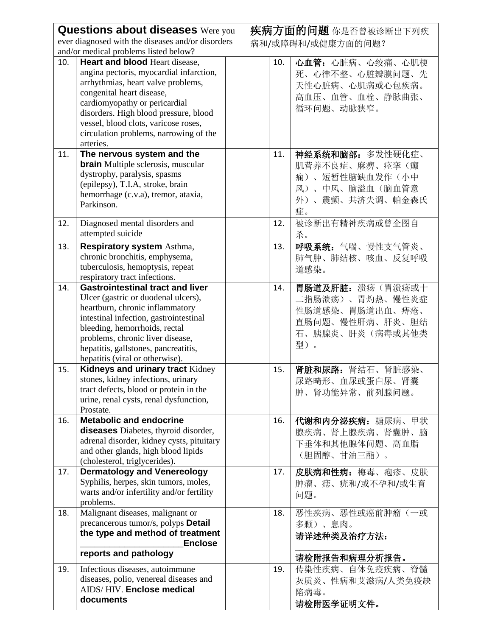|                                                   | <b>Questions about diseases</b> Were you                                                                                                                                                                                                                                                                              |  |                   | 疾病方面的问题 你是否曾被诊断出下列疾                                                                                 |  |  |  |  |
|---------------------------------------------------|-----------------------------------------------------------------------------------------------------------------------------------------------------------------------------------------------------------------------------------------------------------------------------------------------------------------------|--|-------------------|-----------------------------------------------------------------------------------------------------|--|--|--|--|
| ever diagnosed with the diseases and/or disorders |                                                                                                                                                                                                                                                                                                                       |  | 病和/或障碍和/或健康方面的问题? |                                                                                                     |  |  |  |  |
|                                                   | and/or medical problems listed below?                                                                                                                                                                                                                                                                                 |  |                   |                                                                                                     |  |  |  |  |
| 10.                                               | Heart and blood Heart disease,<br>angina pectoris, myocardial infarction,<br>arrhythmias, heart valve problems,<br>congenital heart disease,<br>cardiomyopathy or pericardial<br>disorders. High blood pressure, blood<br>vessel, blood clots, varicose roses,<br>circulation problems, narrowing of the<br>arteries. |  | 10.               | 心血管: 心脏病、心绞痛、心肌梗<br>死、心律不整、心脏瓣膜问题、先<br>天性心脏病、心肌病或心包疾病。<br>高血压、血管、血栓、静脉曲张、<br>循环问题、动脉狭窄。             |  |  |  |  |
| 11.                                               | The nervous system and the                                                                                                                                                                                                                                                                                            |  | 11.               | 神经系统和脑部:多发性硬化症、                                                                                     |  |  |  |  |
|                                                   | <b>brain</b> Multiple sclerosis, muscular<br>dystrophy, paralysis, spasms<br>(epilepsy), T.I.A, stroke, brain<br>hemorrhage (c.v.a), tremor, ataxia,<br>Parkinson.                                                                                                                                                    |  |                   | 肌营养不良症、麻痹、痉挛(癫<br>痫)、短暂性脑缺血发作(小中<br>风)、中风、脑溢血(脑血管意<br>外)、震颤、共济失调、帕金森氏<br>症。                         |  |  |  |  |
| 12.                                               | Diagnosed mental disorders and<br>attempted suicide                                                                                                                                                                                                                                                                   |  | 12.               | 被诊断出有精神疾病或曾企图自<br>杀。                                                                                |  |  |  |  |
| 13.                                               | Respiratory system Asthma,<br>chronic bronchitis, emphysema,<br>tuberculosis, hemoptysis, repeat<br>respiratory tract infections.                                                                                                                                                                                     |  | 13.               | 呼吸系统:气喘、慢性支气管炎、<br>肺气肿、肺结核、咳血、反复呼吸<br>道感染。                                                          |  |  |  |  |
| 14.                                               | <b>Gastrointestinal tract and liver</b><br>Ulcer (gastric or duodenal ulcers),<br>heartburn, chronic inflammatory<br>intestinal infection, gastrointestinal<br>bleeding, hemorrhoids, rectal<br>problems, chronic liver disease,<br>hepatitis, gallstones, pancreatitis,<br>hepatitis (viral or otherwise).           |  | 14.               | 胃肠道及肝脏: 溃疡(胃溃疡或十<br>二指肠溃疡)、胃灼热、慢性炎症<br>性肠道感染、胃肠道出血、痔疮、<br>直肠问题、慢性肝病、肝炎、胆结<br>石、胰腺炎、肝炎(病毒或其他类<br>型)。 |  |  |  |  |
| 15.                                               | Kidneys and urinary tract Kidney<br>stones, kidney infections, urinary<br>tract defects, blood or protein in the<br>urine, renal cysts, renal dysfunction,<br>Prostate.                                                                                                                                               |  | 15.               | 肾脏和尿路:肾结石、肾脏感染、<br>尿路畸形、血尿或蛋白尿、肾囊<br>肿、肾功能异常、前列腺问题。                                                 |  |  |  |  |
| 16.                                               | <b>Metabolic and endocrine</b><br>diseases Diabetes, thyroid disorder,<br>adrenal disorder, kidney cysts, pituitary<br>and other glands, high blood lipids<br>(cholesterol, triglycerides).                                                                                                                           |  | 16.               | 代谢和内分泌疾病:糖尿病、甲状<br>腺疾病、肾上腺疾病、肾囊肿、脑<br>下垂体和其他腺体问题、高血脂<br>(胆固醇、甘油三酯)。                                 |  |  |  |  |
| 17.                                               | <b>Dermatology and Venereology</b><br>Syphilis, herpes, skin tumors, moles,<br>warts and/or infertility and/or fertility<br>problems.                                                                                                                                                                                 |  | 17.               | 皮肤病和性病:梅毒、疱疹、皮肤<br>肿瘤、痣、疣和/或不孕和/或生育<br>问题。                                                          |  |  |  |  |
| 18.                                               | Malignant diseases, malignant or<br>precancerous tumor/s, polyps Detail<br>the type and method of treatment<br><b>Enclose</b><br>reports and pathology                                                                                                                                                                |  | 18.               | 恶性疾病、恶性或癌前肿瘤(一或<br>多颗)、息肉。<br>请详述种类及治疗方法:                                                           |  |  |  |  |
| 19.                                               | Infectious diseases, autoimmune<br>diseases, polio, venereal diseases and<br>AIDS/HIV. Enclose medical<br>documents                                                                                                                                                                                                   |  | 19.               | 请检附报告和病理分析报告。<br>传染性疾病、自体免疫疾病、脊髓<br>灰质炎、性病和艾滋病/人类免疫缺<br>陷病毒。<br>请检附医学证明文件。                          |  |  |  |  |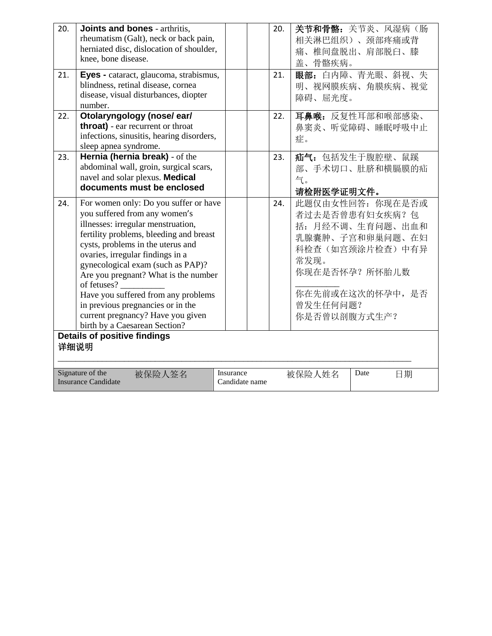| 20.<br>21.                                                                                                      | Joints and bones - arthritis,<br>rheumatism (Galt), neck or back pain,<br>herniated disc, dislocation of shoulder,<br>knee, bone disease.<br>Eyes - cataract, glaucoma, strabismus,<br>blindness, retinal disease, cornea<br>disease, visual disturbances, diopter<br>number.                                                                                                                                                                                                  |  | 20.<br>21. | 关节和骨骼: 关节炎、风湿病(肠<br>相关淋巴组织)、颈部疼痛或背<br>痛、椎间盘脱出、肩部脱臼、膝<br>盖、骨骼疾病。<br>眼部:白内障、青光眼、斜视、失<br>明、视网膜疾病、角膜疾病、视觉<br>障碍、屈光度。                                                       |  |  |  |
|-----------------------------------------------------------------------------------------------------------------|--------------------------------------------------------------------------------------------------------------------------------------------------------------------------------------------------------------------------------------------------------------------------------------------------------------------------------------------------------------------------------------------------------------------------------------------------------------------------------|--|------------|------------------------------------------------------------------------------------------------------------------------------------------------------------------------|--|--|--|
| 22.                                                                                                             | Otolaryngology (nose/ear/<br><b>throat</b> ) - ear recurrent or throat<br>infections, sinusitis, hearing disorders,<br>sleep apnea syndrome.                                                                                                                                                                                                                                                                                                                                   |  | 22.        | 耳鼻喉: 反复性耳部和喉部感染、<br>鼻窦炎、听觉障碍、睡眠呼吸中止<br>症。                                                                                                                              |  |  |  |
| 23.                                                                                                             | Hernia (hernia break) - of the<br>abdominal wall, groin, surgical scars,<br>navel and solar plexus. Medical<br>documents must be enclosed                                                                                                                                                                                                                                                                                                                                      |  | 23.        | 疝气: 包括发生于腹腔壁、鼠蹊<br>部、手术切口、肚脐和横膈膜的疝<br>气。<br>请检附医学证明文件。                                                                                                                 |  |  |  |
| 24.                                                                                                             | For women only: Do you suffer or have<br>you suffered from any women's<br>illnesses: irregular menstruation,<br>fertility problems, bleeding and breast<br>cysts, problems in the uterus and<br>ovaries, irregular findings in a<br>gynecological exam (such as PAP)?<br>Are you pregnant? What is the number<br>of fetuses?<br>Have you suffered from any problems<br>in previous pregnancies or in the<br>current pregnancy? Have you given<br>birth by a Caesarean Section? |  | 24.        | 此题仅由女性回答: 你现在是否或<br>者过去是否曾患有妇女疾病?包<br>括: 月经不调、生育问题、出血和<br>乳腺囊肿、子宫和卵巢问题、在妇<br>科检查(如宫颈涂片检查)中有异<br>常发现。<br>你现在是否怀孕? 所怀胎儿数<br>你在先前或在这次的怀孕中, 是否<br>曾发生任何问题?<br>你是否曾以剖腹方式生产? |  |  |  |
| <b>Details of positive findings</b><br>详细说明                                                                     |                                                                                                                                                                                                                                                                                                                                                                                                                                                                                |  |            |                                                                                                                                                                        |  |  |  |
| Signature of the<br>Insurance<br>被保险人姓名<br>Date<br>被保险人签名<br>日期<br><b>Insurance Candidate</b><br>Candidate name |                                                                                                                                                                                                                                                                                                                                                                                                                                                                                |  |            |                                                                                                                                                                        |  |  |  |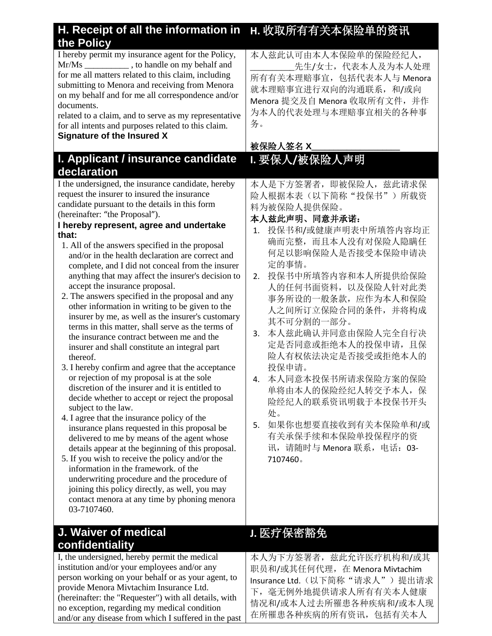| H. Receipt of all the information in<br>the Policy                                                                                                                                                                                                                                                                                                                                                                                                                                                                                                                                                                                                                                                                                                                                                                                                                                                                                                                                                                                                                                                                                                                                                                                                                                                                                                                                                                                                                                                                      | H. 收取所有有关本保险单的资讯                                                                                                                                                                                                                                                                                                                                                                                                                                                                                                                             |
|-------------------------------------------------------------------------------------------------------------------------------------------------------------------------------------------------------------------------------------------------------------------------------------------------------------------------------------------------------------------------------------------------------------------------------------------------------------------------------------------------------------------------------------------------------------------------------------------------------------------------------------------------------------------------------------------------------------------------------------------------------------------------------------------------------------------------------------------------------------------------------------------------------------------------------------------------------------------------------------------------------------------------------------------------------------------------------------------------------------------------------------------------------------------------------------------------------------------------------------------------------------------------------------------------------------------------------------------------------------------------------------------------------------------------------------------------------------------------------------------------------------------------|----------------------------------------------------------------------------------------------------------------------------------------------------------------------------------------------------------------------------------------------------------------------------------------------------------------------------------------------------------------------------------------------------------------------------------------------------------------------------------------------------------------------------------------------|
| I hereby permit my insurance agent for the Policy,<br>Mr/Ms ______________, to handle on my behalf and<br>for me all matters related to this claim, including<br>submitting to Menora and receiving from Menora<br>on my behalf and for me all correspondence and/or<br>documents.<br>related to a claim, and to serve as my representative<br>for all intents and purposes related to this claim.<br>Signature of the Insured X                                                                                                                                                                                                                                                                                                                                                                                                                                                                                                                                                                                                                                                                                                                                                                                                                                                                                                                                                                                                                                                                                        | 本人兹此认可由本人本保险单的保险经纪人,<br>先生/女士,代表本人及为本人处理<br>所有有关本理赔事宜, 包括代表本人与 Menora<br>就本理赔事宜进行双向的沟通联系, 和/或向<br>Menora 提交及自 Menora 收取所有文件, 并作<br>为本人的代表处理与本理赔事宜相关的各种事<br>务。<br>被保险人签名 X                                                                                                                                                                                                                                                                                                                                                                    |
|                                                                                                                                                                                                                                                                                                                                                                                                                                                                                                                                                                                                                                                                                                                                                                                                                                                                                                                                                                                                                                                                                                                                                                                                                                                                                                                                                                                                                                                                                                                         |                                                                                                                                                                                                                                                                                                                                                                                                                                                                                                                                              |
| I. Applicant / insurance candidate<br>declaration                                                                                                                                                                                                                                                                                                                                                                                                                                                                                                                                                                                                                                                                                                                                                                                                                                                                                                                                                                                                                                                                                                                                                                                                                                                                                                                                                                                                                                                                       | 1. 要保人/被保险人声明                                                                                                                                                                                                                                                                                                                                                                                                                                                                                                                                |
| I the undersigned, the insurance candidate, hereby<br>request the insurer to insured the insurance<br>candidate pursuant to the details in this form<br>(hereinafter: "the Proposal").<br>I hereby represent, agree and undertake<br>that:<br>1. All of the answers specified in the proposal<br>and/or in the health declaration are correct and<br>complete, and I did not conceal from the insurer<br>anything that may affect the insurer's decision to<br>accept the insurance proposal.<br>2. The answers specified in the proposal and any<br>other information in writing to be given to the<br>insurer by me, as well as the insurer's customary<br>terms in this matter, shall serve as the terms of<br>the insurance contract between me and the<br>insurer and shall constitute an integral part<br>thereof.<br>3. I hereby confirm and agree that the acceptance<br>or rejection of my proposal is at the sole<br>discretion of the insurer and it is entitled to<br>decide whether to accept or reject the proposal<br>subject to the law.<br>4. I agree that the insurance policy of the<br>insurance plans requested in this proposal be<br>delivered to me by means of the agent whose<br>details appear at the beginning of this proposal.<br>5. If you wish to receive the policy and/or the<br>information in the framework, of the<br>underwriting procedure and the procedure of<br>joining this policy directly, as well, you may<br>contact menora at any time by phoning menora<br>03-7107460. | 本人是下方签署者, 即被保险人, 兹此请求保<br>险人根据本表(以下简称"投保书")所载资<br>料为被保险人提供保险。<br>本人兹此声明、同意并承诺:<br>投保书和/或健康声明表中所填答内容均正<br>1.<br>确而完整, 而且本人没有对保险人隐瞒任<br>何足以影响保险人是否接受本保险申请决<br>定的事情。<br>投保书中所填答内容和本人所提供给保险<br>2.<br>人的任何书面资料, 以及保险人针对此类<br>事务所设的一般条款, 应作为本人和保险<br>人之间所订立保险合同的条件, 并将构成<br>其不可分割的一部分。<br>本人兹此确认并同意由保险人完全自行决<br>3.<br>定是否同意或拒绝本人的投保申请,且保<br>险人有权依法决定是否接受或拒绝本人的<br>投保申请。<br>本人同意本投保书所请求保险方案的保险<br>4.<br>单将由本人的保险经纪人转交予本人, 保<br>险经纪人的联系资讯明载于本投保书开头<br>处。<br>如果你也想要直接收到有关本保险单和/或<br>5.<br>有关承保手续和本保险单投保程序的资<br>讯, 请随时与 Menora 联系, 电话: 03-<br>7107460。 |
| J. Waiver of medical                                                                                                                                                                                                                                                                                                                                                                                                                                                                                                                                                                                                                                                                                                                                                                                                                                                                                                                                                                                                                                                                                                                                                                                                                                                                                                                                                                                                                                                                                                    | J. 医疗保密豁免                                                                                                                                                                                                                                                                                                                                                                                                                                                                                                                                    |
| confidentiality                                                                                                                                                                                                                                                                                                                                                                                                                                                                                                                                                                                                                                                                                                                                                                                                                                                                                                                                                                                                                                                                                                                                                                                                                                                                                                                                                                                                                                                                                                         |                                                                                                                                                                                                                                                                                                                                                                                                                                                                                                                                              |
| I, the undersigned, hereby permit the medical<br>institution and/or your employees and/or any<br>person working on your behalf or as your agent to                                                                                                                                                                                                                                                                                                                                                                                                                                                                                                                                                                                                                                                                                                                                                                                                                                                                                                                                                                                                                                                                                                                                                                                                                                                                                                                                                                      | 本人为下方签署者, 兹此允许医疗机构和/或其<br>职员和/或其任何代理, 在 Menora Mivtachim                                                                                                                                                                                                                                                                                                                                                                                                                                                                                     |

person working on your behalf or as your agent, to provide Menora Mivtachim Insurance Ltd. (hereinafter: the "Requester") with all details, with no exception, regarding my medical condition and/or any disease from which I suffered in the past Insurance Ltd. (以下简称"请求人")提出请求 下,毫无例外地提供请求人所有有关本人健康 情况和/或本人过去所罹患各种疾病和/或本人现 在所罹患各种疾病的所有资讯,包括有关本人